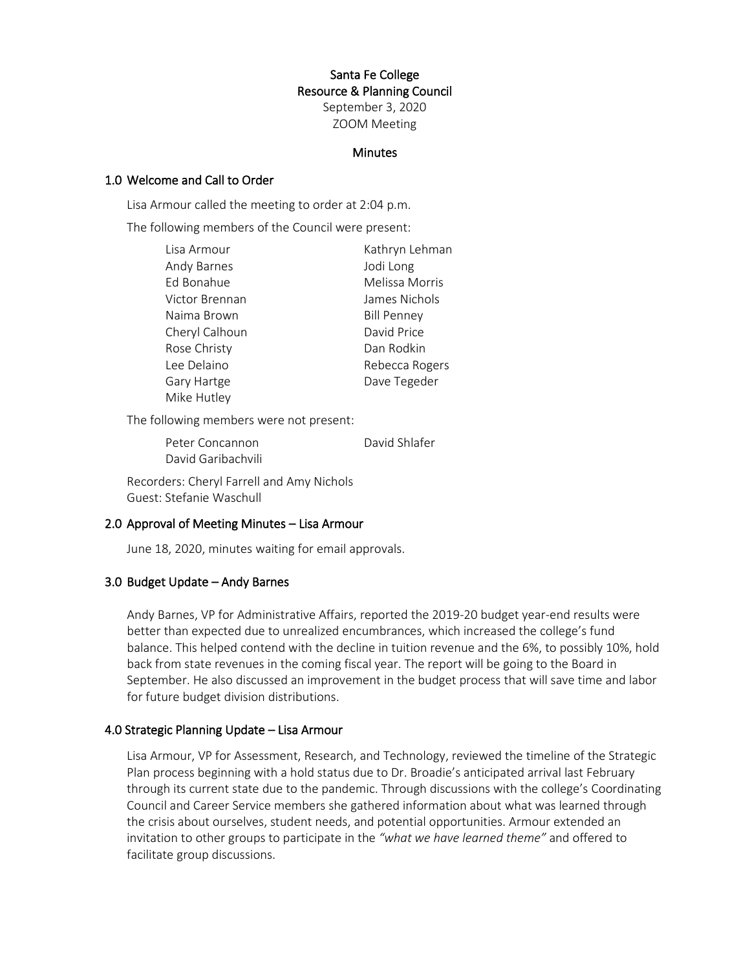# Santa Fe College Resource & Planning Council September 3, 2020 ZOOM Meeting

#### **Minutes**

#### 1.0 Welcome and Call to Order

Lisa Armour called the meeting to order at 2:04 p.m.

The following members of the Council were present:

| Lisa Armour    | Kathryn Lehman     |
|----------------|--------------------|
| Andy Barnes    | Jodi Long          |
| Ed Bonahue     | Melissa Morris     |
| Victor Brennan | James Nichols      |
| Naima Brown    | <b>Bill Penney</b> |
| Cheryl Calhoun | David Price        |
| Rose Christy   | Dan Rodkin         |
| Lee Delaino    | Rebecca Rogers     |
| Gary Hartge    | Dave Tegeder       |
| Mike Hutley    |                    |

The following members were not present:

Peter Concannon David Shlafer David Garibachvili

Recorders: Cheryl Farrell and Amy Nichols Guest: Stefanie Waschull

#### 2.0 Approval of Meeting Minutes – Lisa Armour

June 18, 2020, minutes waiting for email approvals.

### 3.0 Budget Update – Andy Barnes

Andy Barnes, VP for Administrative Affairs, reported the 2019-20 budget year-end results were better than expected due to unrealized encumbrances, which increased the college's fund balance. This helped contend with the decline in tuition revenue and the 6%, to possibly 10%, hold back from state revenues in the coming fiscal year. The report will be going to the Board in September. He also discussed an improvement in the budget process that will save time and labor for future budget division distributions.

### 4.0 Strategic Planning Update – Lisa Armour

Lisa Armour, VP for Assessment, Research, and Technology, reviewed the timeline of the Strategic Plan process beginning with a hold status due to Dr. Broadie's anticipated arrival last February through its current state due to the pandemic. Through discussions with the college's Coordinating Council and Career Service members she gathered information about what was learned through the crisis about ourselves, student needs, and potential opportunities. Armour extended an invitation to other groups to participate in the *"what we have learned theme"* and offered to facilitate group discussions.